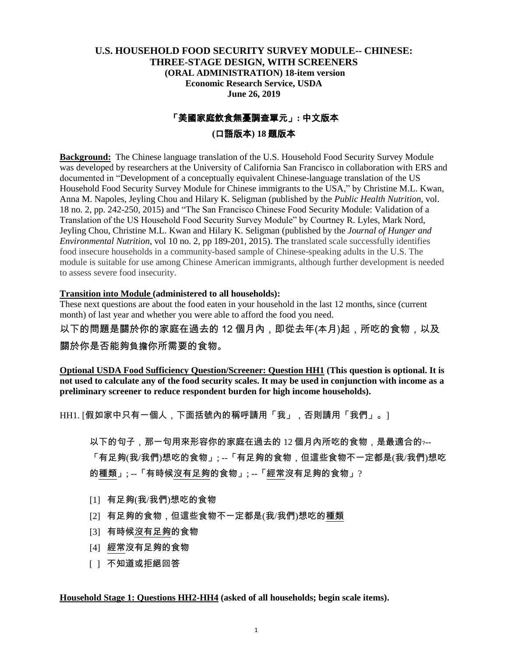### **U.S. HOUSEHOLD FOOD SECURITY SURVEY MODULE-- CHINESE: THREE-STAGE DESIGN, WITH SCREENERS (ORAL ADMINISTRATION) 18-item version Economic Research Service, USDA June 26, 2019**

# 「美國家庭飲食無憂調查單元」**:** 中文版本

### **(**口語版本**) 18** 題版本

**Background:** The Chinese language translation of the U.S. Household Food Security Survey Module was developed by researchers at the University of California San Francisco in collaboration with ERS and documented in "Development of a conceptually equivalent Chinese-language translation of the US Household Food Security Survey Module for Chinese immigrants to the USA," by Christine M.L. Kwan, Anna M. Napoles, Jeyling Chou and Hilary K. Seligman (published by the *Public Health Nutrition*, vol. 18 no. 2, pp. 242-250, 2015) and "The San Francisco Chinese Food Security Module: Validation of a Translation of the US Household Food Security Survey Module" by Courtney R. Lyles, Mark Nord, Jeyling Chou, Christine M.L. Kwan and Hilary K. Seligman (published by the *Journal of Hunger and Environmental Nutrition*, vol 10 no. 2, pp 189-201, 2015). The translated scale successfully identifies food insecure households in a community-based sample of Chinese-speaking adults in the U.S. The module is suitable for use among Chinese American immigrants, although further development is needed to assess severe food insecurity.

#### **Transition into Module (administered to all households):**

These next questions are about the food eaten in your household in the last 12 months, since (current month) of last year and whether you were able to afford the food you need.

以下的問題是關於你的家庭在過去的 12 個月內,即從去年(本月)起,所吃的食物,以及

關於你是否能夠負擔你所需要的食物。

**Optional USDA Food Sufficiency Question/Screener: Question HH1 (This question is optional. It is not used to calculate any of the food security scales. It may be used in conjunction with income as a preliminary screener to reduce respondent burden for high income households).**

HH1. [假如家中只有一個人,下面括號內的稱呼請用「我」,否則請用「我們」。]

以下的句子,那一句用來形容你的家庭在過去的 12 個月內所吃的食物,是最適合的﹖--

「有足夠(我/我們)想吃的食物」; --「有足夠的食物,但這些食物不一定都是(我/我們)想吃 的種類」; --「有時候沒有足夠的食物」; --「經常沒有足夠的食物」?

- [1] 有足夠(我/我們)想吃的食物
- [2] 有足夠的食物,但這些食物不一定都是(我/我們)想吃的種類
- [3] 有時候沒有足夠的食物
- [4] 經常沒有足夠的食物
- [ ] 不知道或拒絕回答

#### **Household Stage 1: Questions HH2-HH4 (asked of all households; begin scale items).**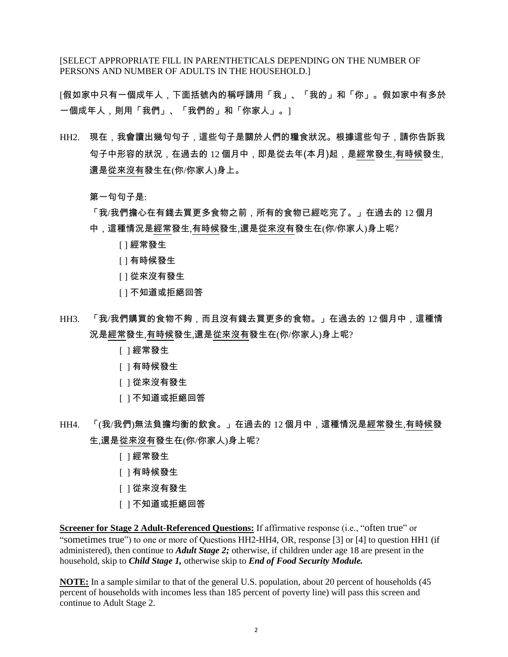[SELECT APPROPRIATE FILL IN PARENTHETICALS DEPENDING ON THE NUMBER OF PERSONS AND NUMBER OF ADULTS IN THE HOUSEHOLD.]

[假如家中只有一個成年人,下面括號內的稱呼請用「我」、「我的」和「你」。假如家中有多於 一個成年人,則用「我們」、「我們的」和「你家人」。]

HH2. 現在,我會讀出幾句句子,這些句子是關於人們的糧食狀況。根據這些句子,請你告訴我 句子中形容的狀況,在過去的 12 個月中,即是從去年(本月)起,是經常發生,有時候發生, 還是從來沒有發生在(你/你家人)身上。

第一句句子是:

「我/我們擔心在有錢去買更多食物之前,所有的食物已經吃完了。」在過去的 12 個月 中,這種情況是經常發生,有時候發生,還是從來沒有發生在(你/你家人)身上呢?

- [ ] 經常發生
- [ ] 有時候發生
- [ ] 從來沒有發生
- [ ] 不知道或拒絕回答
- HH3. 「我/我們購買的食物不夠,而且沒有錢去買更多的食物。」在過去的 12 個月中,這種情 況是經常發生,有時候發生,還是從來沒有發生在(你/你家人)身上呢?
	- [ ] 經常發生
	- [ ] 有時候發生
	- [ ] 從來沒有發生
	- [ ] 不知道或拒絕回答
- HH4. 「(我/我們)無法負擔均衡的飲食。」在過去的 12 個月中,這種情況是經常發生,有時候發 生,還是從來沒有發生在(你/你家人)身上呢?
	- [ ] 經常發生
	- [ ] 有時候發生
	- [ ] 從來沒有發生
	- [ ] 不知道或拒絕回答

**Screener for Stage 2 Adult-Referenced Questions:** If affirmative response (i.e., "often true" or "sometimes true") to one or more of Questions HH2-HH4, OR, response [3] or [4] to question HH1 (if administered), then continue to *Adult Stage 2;* otherwise, if children under age 18 are present in the household, skip to *Child Stage 1,* otherwise skip to *End of Food Security Module.*

**NOTE:** In a sample similar to that of the general U.S. population, about 20 percent of households (45 percent of households with incomes less than 185 percent of poverty line) will pass this screen and continue to Adult Stage 2.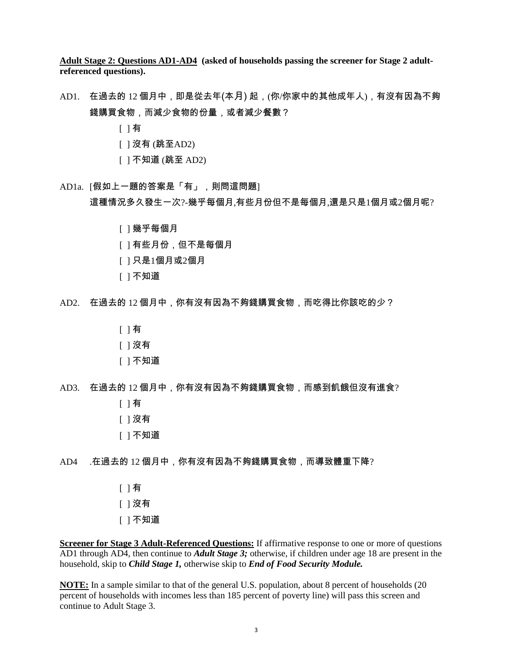**Adult Stage 2: Questions AD1-AD4 (asked of households passing the screener for Stage 2 adultreferenced questions).**

- AD1. 在過去的 12 個月中,即是從去年(本月) 起,(你/你家中的其他成年人),有沒有因為不夠 錢購買食物,而減少食物的份量,或者減少餐數?
	- [ ] 有
	- [ ] 沒有 (跳至AD2)
	- [ ] 不知道 (跳至 AD2)
- AD1a. [假如上一題的答案是「有」,則問這問題] 這種情況多久發生一次?-幾乎每個月,有些月份但不是每個月,還是只是1個月或2個月呢?
	- [ ] 幾乎每個月
	- [ ] 有些月份,但不是每個月
	- [ ] 只是1個月或2個月
	- [ ] 不知道
- AD2. 在過去的 12 個月中,你有沒有因為不夠錢購買食物,而吃得比你該吃的少?
	- [ ] 有
	- [ ] 沒有
	- [ ] 不知道
- AD3. 在過去的 12 個月中,你有沒有因為不夠錢購買食物,而感到飢餓但沒有進食?
	- [ ] 有
	- [ ] 沒有
	- [ ] 不知道
- AD4 .在過去的 12 個月中,你有沒有因為不夠錢購買食物,而導致體重下降?
	- [ ] 有 [ ] 沒有 [ ] 不知道

**Screener for Stage 3 Adult-Referenced Questions:** If affirmative response to one or more of questions AD1 through AD4, then continue to *Adult Stage 3;* otherwise, if children under age 18 are present in the household, skip to *Child Stage 1,* otherwise skip to *End of Food Security Module.*

**NOTE:** In a sample similar to that of the general U.S. population, about 8 percent of households (20) percent of households with incomes less than 185 percent of poverty line) will pass this screen and continue to Adult Stage 3.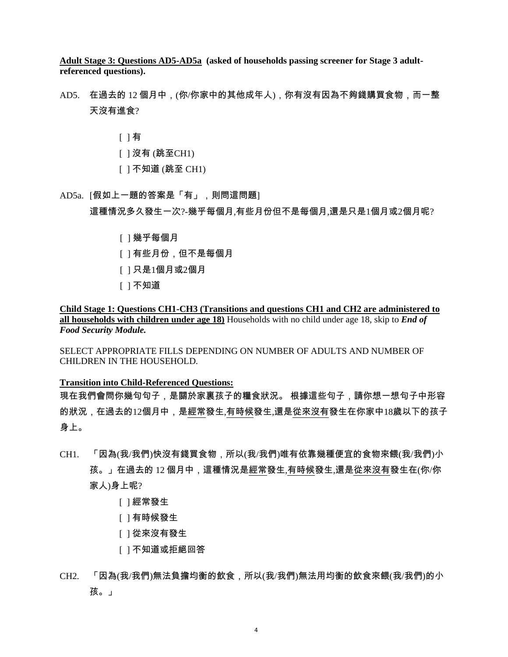**Adult Stage 3: Questions AD5-AD5a (asked of households passing screener for Stage 3 adultreferenced questions).**

AD5. 在過去的 12 個月中,(你/你家中的其他成年人),你有沒有因為不夠錢購買食物,而一整 天沒有進食?

[ ] 有

- [ ] 沒有 (跳至CH1)
- [ ] 不知道 (跳至 CH1)
- AD5a. [假如上一題的答案是「有」,則問這問題] 這種情況多久發生一次?-幾乎每個月,有些月份但不是每個月,還是只是1個月或2個月呢?
	- [ ] 幾乎每個月
	- [ ] 有些月份,但不是每個月
	- [ ] 只是1個月或2個月
	- [ ] 不知道

**Child Stage 1: Questions CH1-CH3 (Transitions and questions CH1 and CH2 are administered to all households with children under age 18)** Households with no child under age 18, skip to *End of Food Security Module.*

SELECT APPROPRIATE FILLS DEPENDING ON NUMBER OF ADULTS AND NUMBER OF CHILDREN IN THE HOUSEHOLD.

**Transition into Child-Referenced Questions:**

現在我們會問你幾句句子,是關於家裏孩子的糧食狀況。 根據這些句子,請你想一想句子中形容 的狀況,在過去的12個月中,是經常發生,有時候發生,還是從來沒有發生在你家中18歲以下的孩子 身上。

- CH1. 「因為(我/我們)快沒有錢買食物,所以(我/我們)唯有依靠幾種便宜的食物來餵(我/我們)小 孩。」在過去的 12 個月中,這種情況是經常發生,有時候發生,還是從來沒有發生在(你/你 家人)身上呢?
	- [ ] 經常發生
	- [ ] 有時候發生
	- [ ] 從來沒有發生
	- [ ] 不知道或拒絕回答
- CH2. 「因為(我/我們)無法負擔均衡的飲食,所以(我/我們)無法用均衡的飲食來餵(我/我們)的小 孩。」

4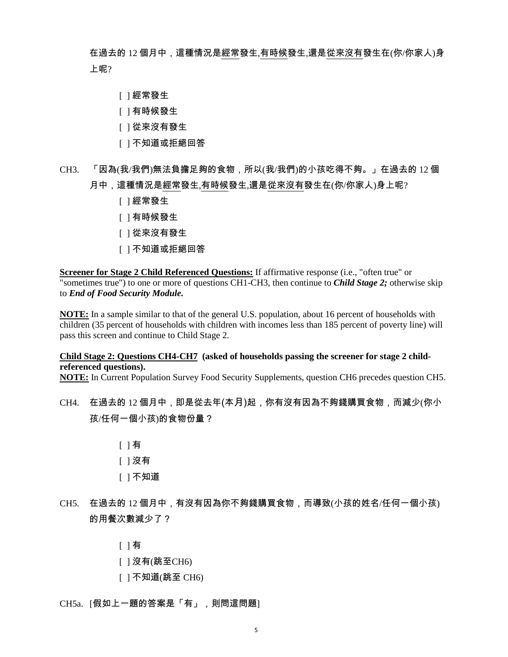在過去的 12 個月中,這種情況是經常發生,有時候發生,還是從來沒有發生在(你/你家人)身 上呢?

- [ ] 經常發生
- [ ] 有時候發生
- [ ] 從來沒有發生
- [ ] 不知道或拒絕回答
- CH3. 「因為(我/我們)無法負擔足夠的食物,所以(我/我們)的小孩吃得不夠。」在過去的 12 個 月中,這種情況是經常發生,有時候發生,還是從來沒有發生在(你/你家人)身上呢?
	- [ ] 經常發生
	- [ ] 有時候發生
	- [ ] 從來沒有發生
	- [ ] 不知道或拒絕回答

**Screener for Stage 2 Child Referenced Questions:** If affirmative response (i.e., "often true" or "sometimes true") to one or more of questions CH1-CH3, then continue to *Child Stage 2;* otherwise skip to *End of Food Security Module.*

**NOTE:** In a sample similar to that of the general U.S. population, about 16 percent of households with children (35 percent of households with children with incomes less than 185 percent of poverty line) will pass this screen and continue to Child Stage 2.

#### **Child Stage 2: Questions CH4-CH7 (asked of households passing the screener for stage 2 childreferenced questions).**

**NOTE:** In Current Population Survey Food Security Supplements, question CH6 precedes question CH5.

- CH4. 在過去的 12 個月中,即是從去年(本月)起,你有沒有因為不夠錢購買食物,而減少(你小 孩/任何一個小孩)的食物份量?
	- [ ] 有
	- [ ] 沒有
	- [ ] 不知道
- CH5. 在過去的 12 個月中,有沒有因為你不夠錢購買食物,而導致(小孩的姓名/任何一個小孩) 的用餐次數減少了?

[ ] 有

- [ ] 沒有(跳至CH6)
- [ ] 不知道(跳至 CH6)

CH5a. [假如上一題的答案是「有」,則問這問題]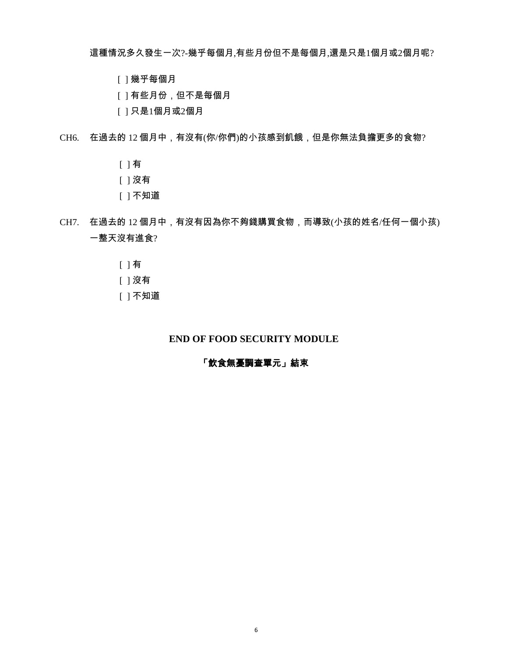這種情況多久發生一次?-幾乎每個月,有些月份但不是每個月,還是只是1個月或2個月呢?

- [ ] 幾乎每個月
- [ ] 有些月份,但不是每個月
- [ ] 只是1個月或2個月

CH6. 在過去的 12 個月中,有沒有(你/你們)的小孩感到飢餓,但是你無法負擔更多的食物?

- [ ] 有
- [ ] 沒有
- [ ] 不知道
- CH7. 在過去的 12 個月中,有沒有因為你不夠錢購買食物,而導致(小孩的姓名/任何一個小孩) 一整天沒有進食?
	- [ ] 有
	- [ ] 沒有
	- [ ] 不知道

## **END OF FOOD SECURITY MODULE**

### 「飲食無憂調查單元」結束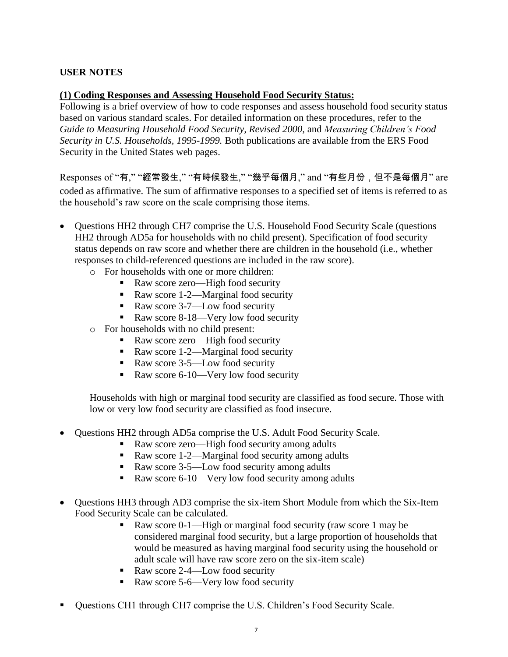# **USER NOTES**

## **(1) Coding Responses and Assessing Household Food Security Status:**

Following is a brief overview of how to code responses and assess household food security status based on various standard scales. For detailed information on these procedures, refer to the *Guide to Measuring Household Food Security, Revised 2000,* and *Measuring Children's Food Security in U.S. Households, 1995-1999.* Both publications are available from the ERS Food Security in the United States web pages.

Responses of "有," "經常發生," "有時候發生," "幾乎每個月," and "有些月份, 但不是每個月" are coded as affirmative. The sum of affirmative responses to a specified set of items is referred to as the household's raw score on the scale comprising those items.

- Questions HH2 through CH7 comprise the U.S. Household Food Security Scale (questions HH2 through AD5a for households with no child present). Specification of food security status depends on raw score and whether there are children in the household (i.e., whether responses to child-referenced questions are included in the raw score).
	- o For households with one or more children:
		- Raw score zero—High food security
		- Raw score 1-2—Marginal food security
		- Raw score 3-7—Low food security
		- Raw score 8-18—Very low food security
	- o For households with no child present:
		- Raw score zero—High food security
		- Raw score 1-2—Marginal food security
		- Raw score 3-5—Low food security
		- Raw score 6-10—Very low food security

Households with high or marginal food security are classified as food secure. Those with low or very low food security are classified as food insecure.

- Questions HH2 through AD5a comprise the U.S. Adult Food Security Scale.
	- Raw score zero—High food security among adults
	- Raw score 1-2—Marginal food security among adults
	- Raw score 3-5—Low food security among adults
	- Raw score 6-10—Very low food security among adults
- Questions HH3 through AD3 comprise the six-item Short Module from which the Six-Item Food Security Scale can be calculated.
	- Raw score 0-1—High or marginal food security (raw score 1 may be considered marginal food security, but a large proportion of households that would be measured as having marginal food security using the household or adult scale will have raw score zero on the six-item scale)
	- Raw score 2-4—Low food security
	- Raw score 5-6—Very low food security
- Questions CH1 through CH7 comprise the U.S. Children's Food Security Scale.